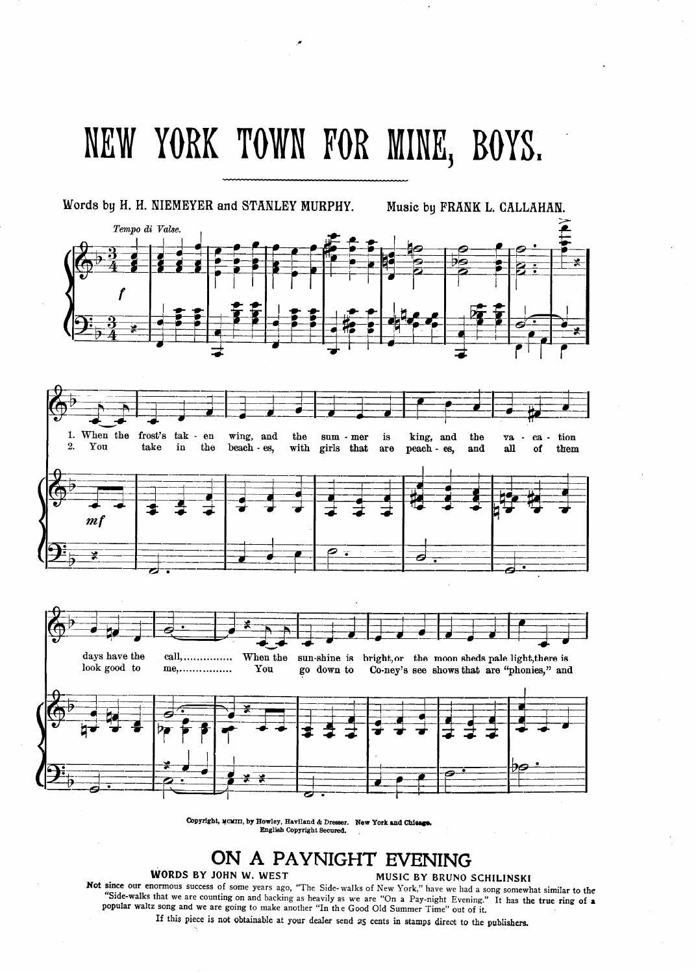# NEW YORK TOWN FOR MINE, BOYS.

Words by H. H. NIEMEYER and STANLEY MURPHY. Music by FRANK L. CALLAHAN.



Copyright, we kill, by Howley, Haviland & Dresser. New York and Chie English Copyright Secured.

## ON A PAYNIGHT EVENING MUSIC BY BRUNO SCHILINSKI

#### WORDS BY JOHN W. WEST

Not since our enormous success of some years ago, "The Side- walks of New York," have we had a song somewhat similar to the "Side-walks that we are counting on and backing as heavily as we are "On a Pay-night Evening." It has the true ring of a popular waltz song and we are going to make another "In the G.ood Old Summer Time" out of it.

If this piece is not obtainable at your dealer send 25 cents in stamps direct to the publishers.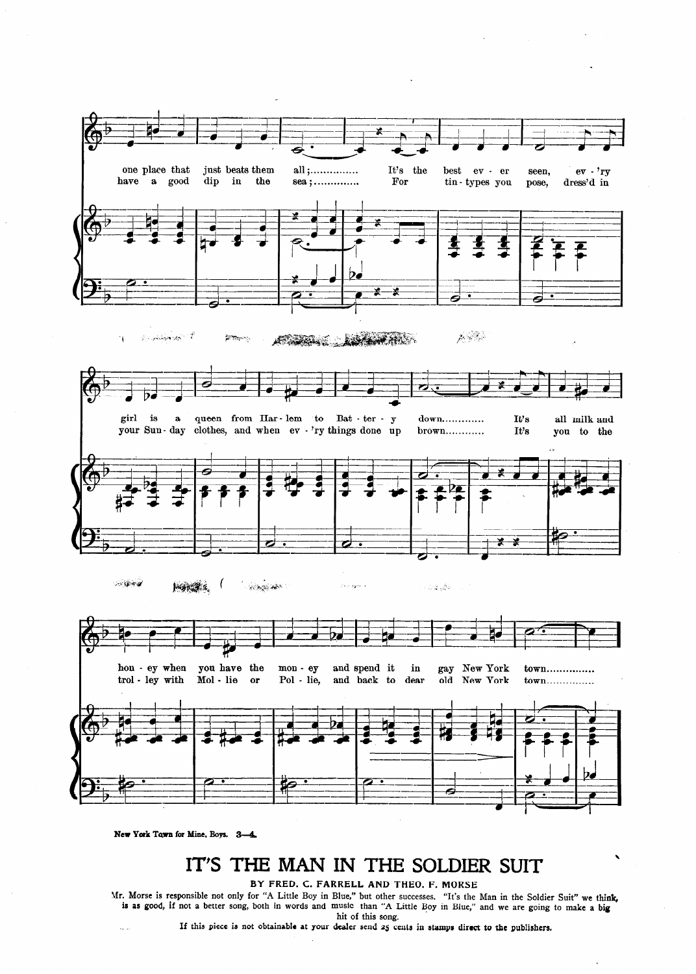

New York Town for Mine, Boys. 3-4.

 $\overline{\mathcal{L}}$  .

## IT'S THE MAN IN THE SOLDIER SUIT

 $\cdot$ 

BY FRED. C. FARRELL AND THEO. F. MORSE

Mr. Morse is responsible not only for "A Little Boy in Blue," but other successes. "It's the Man in the Soldier Suit" we think is as good, if not a better song, both in words and music than "A Little Boy in Blue," and we are going to make a big hit of this song.

If this piece is not obtainable at your dealer send 25 cents in stamps direct to the publishers.